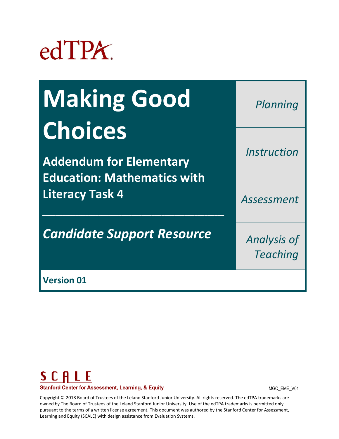# edTPA.

| <b>Making Good</b>                                           | Planning                              |
|--------------------------------------------------------------|---------------------------------------|
| <b>Choices</b>                                               |                                       |
| <b>Addendum for Elementary</b>                               | Instruction                           |
| <b>Education: Mathematics with</b><br><b>Literacy Task 4</b> | Assessment                            |
| <b>Candidate Support Resource</b>                            | <b>Analysis of</b><br><b>Teaching</b> |
| <b>Version 01</b>                                            |                                       |

# SCALE **Stanford Center for Assessment, Learning, & Equity**

MGC\_EME\_V01

Copyright © 2018 Board of Trustees of the Leland Stanford Junior University. All rights reserved. The edTPA trademarks are owned by The Board of Trustees of the Leland Stanford Junior University. Use of the edTPA trademarks is permitted only pursuant to the terms of a written license agreement. This document was authored by the Stanford Center for Assessment, Learning and Equity (SCALE) with design assistance from Evaluation Systems.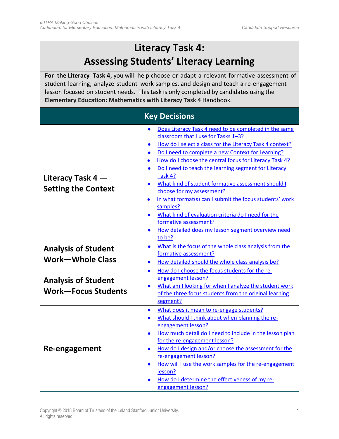# **Literacy Task 4: Assessing Students' Literacy Learning**

<span id="page-1-0"></span>**For the Literacy Task 4,** you will help choose or adapt a relevant formative assessment of student learning, analyze student work samples, and design and teach a re-engagement lesson focused on student needs. This task is only completed by candidates using the **Elementary Education: Mathematics with Literacy Task 4** Handbook.

## **Key Decisions**

|                            | Does Literacy Task 4 need to be completed in the same<br>$\bullet$                                       |  |
|----------------------------|----------------------------------------------------------------------------------------------------------|--|
|                            | classroom that I use for Tasks 1-3?                                                                      |  |
|                            | How do I select a class for the Literacy Task 4 context?<br>$\bullet$                                    |  |
|                            | Do I need to complete a new Context for Learning?                                                        |  |
|                            | How do I choose the central focus for Literacy Task 4?<br>$\bullet$                                      |  |
|                            | Do I need to teach the learning segment for Literacy<br>$\bullet$                                        |  |
| Literacy Task $4-$         | Task 4?                                                                                                  |  |
|                            | What kind of student formative assessment should I<br>$\bullet$                                          |  |
| <b>Setting the Context</b> | choose for my assessment?                                                                                |  |
|                            | In what format(s) can I submit the focus students' work<br>$\bullet$                                     |  |
|                            | samples?                                                                                                 |  |
|                            | What kind of evaluation criteria do I need for the<br>$\bullet$                                          |  |
|                            | formative assessment?                                                                                    |  |
|                            | How detailed does my lesson segment overview need<br>$\bullet$                                           |  |
|                            | to be?                                                                                                   |  |
|                            | What is the focus of the whole class analysis from the<br>$\bullet$                                      |  |
| <b>Analysis of Student</b> | formative assessment?                                                                                    |  |
| <b>Work-Whole Class</b>    | How detailed should the whole class analysis be?<br>$\bullet$                                            |  |
|                            | How do I choose the focus students for the re-<br>$\bullet$                                              |  |
|                            | engagement lesson?                                                                                       |  |
| <b>Analysis of Student</b> | What am I looking for when I analyze the student work<br>$\bullet$                                       |  |
| <b>Work-Focus Students</b> | of the three focus students from the original learning                                                   |  |
|                            | segment?                                                                                                 |  |
|                            |                                                                                                          |  |
|                            | What does it mean to re-engage students?<br>$\bullet$<br>What should I think about when planning the re- |  |
| Re-engagement              | $\bullet$<br>engagement lesson?                                                                          |  |
|                            |                                                                                                          |  |
|                            | How much detail do I need to include in the lesson plan<br>$\bullet$                                     |  |
|                            | for the re-engagement lesson?                                                                            |  |
|                            | How do I design and/or choose the assessment for the<br>$\bullet$                                        |  |
|                            | re-engagement lesson?                                                                                    |  |
|                            | How will I use the work samples for the re-engagement                                                    |  |
|                            | lesson?                                                                                                  |  |
|                            | How do I determine the effectiveness of my re-                                                           |  |
|                            | engagement lesson?                                                                                       |  |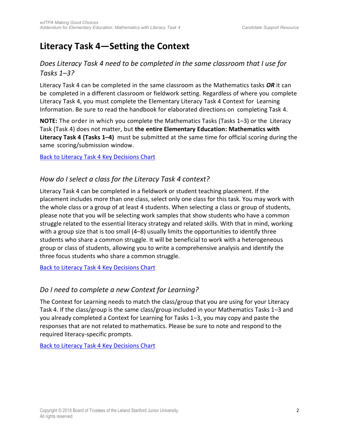# <span id="page-2-0"></span>**Literacy Task 4—Setting the Context**

#### *Does Literacy Task 4 need to be completed in the same classroom that I use for Tasks 1–3?*

Literacy Task 4 can be completed in the same classroom as the Mathematics tasks *OR* it can be completed in a different classroom or fieldwork setting. Regardless of where you complete Literacy Task 4, you must complete the Elementary Literacy Task 4 Context for Learning Information. Be sure to read the handbook for elaborated directions on completing Task 4.

**NOTE:** The order in which you complete the Mathematics Tasks (Tasks 1–3) or the Literacy Task (Task 4) does not matter, but **the entire Elementary Education: Mathematics with Literacy Task 4 (Tasks 1–4)** must be submitted at the same time for official scoring during the same scoring/submission window.

[Back to Literacy Task 4 Key Decisions Chart](#page-1-0)

#### *How do I select a class for the Literacy Task 4 context?*

Literacy Task 4 can be completed in a fieldwork or student teaching placement. If the placement includes more than one class, select only one class for this task. You may work with the whole class or a group of at least 4 students. When selecting a class or group of students, please note that you will be selecting work samples that show students who have a common struggle related to the essential literacy strategy and related skills. With that in mind, working with a group size that is too small (4–8) usually limits the opportunities to identify three students who share a common struggle. It will be beneficial to work with a heterogeneous group or class of students, allowing you to write a comprehensive analysis and identify the three focus students who share a common struggle.

[Back to Literacy Task 4 Key Decisions Chart](#page-1-0)

#### *Do I need to complete a new Context for Learning?*

The Context for Learning needs to match the class/group that you are using for your Literacy Task 4. If the class/group is the same class/group included in your Mathematics Tasks 1–3 and you already completed a Context for Learning for Tasks 1–3, you may copy and paste the responses that are not related to mathematics. Please be sure to note and respond to the required literacy-specific prompts.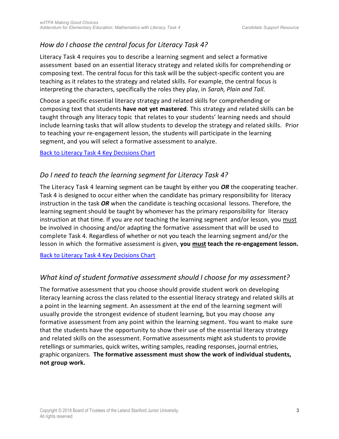## <span id="page-3-0"></span>*How do I choose the central focus for Literacy Task 4?*

Literacy Task 4 requires you to describe a learning segment and select a formative assessment based on an essential literacy strategy and related skills for comprehending or composing text. The central focus for this task will be the subject-specific content you are teaching as it relates to the strategy and related skills. For example, the central focus is interpreting the characters, specifically the roles they play, in *Sarah, Plain and Tall.* 

Choose a specific essential literacy strategy and related skills for comprehending or composing text that students **have not yet mastered**. This strategy and related skills can be taught through any literacy topic that relates to your students' learning needs and should include learning tasks that will allow students to develop the strategy and related skills. Prior to teaching your re-engagement lesson, the students will participate in the learning segment, and you will select a formative assessment to analyze.

[Back to Literacy Task 4 Key Decisions Chart](#page-1-0)

## *Do I need to teach the learning segment for Literacy Task 4?*

The Literacy Task 4 learning segment can be taught by either you *OR* the cooperating teacher. Task 4 is designed to occur either when the candidate has primary responsibility for literacy instruction in the task *OR* when the candidate is teaching occasional lessons. Therefore, the learning segment should be taught by whomever has the primary responsibility for literacy instruction at that time. If you are *not* teaching the learning segment and/or lesson, you must be involved in choosing and/or adapting the formative assessment that will be used to complete Task 4. Regardless of whether or not you teach the learning segment and/or the lesson in which the formative assessment is given, **you must teach the re-engagement lesson.**

[Back to Literacy Task 4 Key Decisions Chart](#page-1-0)

## *What kind of student formative assessment should I choose for my assessment?*

The formative assessment that you choose should provide student work on developing literacy learning across the class related to the essential literacy strategy and related skills at a point in the learning segment. An assessment at the end of the learning segment will usually provide the strongest evidence of student learning, but you may choose any formative assessment from any point within the learning segment. You want to make sure that the students have the opportunity to show their use of the essential literacy strategy and related skills on the assessment. Formative assessments might ask students to provide retellings or summaries, quick writes, writing samples, reading responses, journal entries, graphic organizers. **The formative assessment must show the work of individual students, not group work.**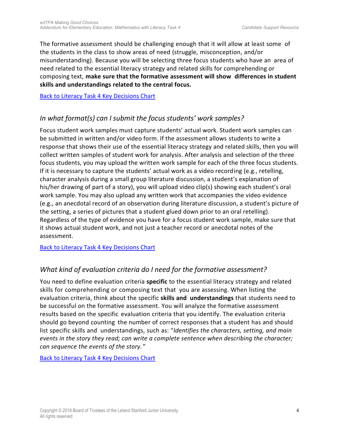<span id="page-4-0"></span>The formative assessment should be challenging enough that it will allow at least some of the students in the class to show areas of need (struggle, misconception, and/or misunderstanding). Because you will be selecting three focus students who have an area of need related to the essential literacy strategy and related skills for comprehending or composing text, **make sure that the formative assessment will show differences in student skills and understandings related to the central focus.**

[Back to Literacy Task 4 Key Decisions Chart](#page-1-0) 

## *In what format(s) can I submit the focus students' work samples?*

Focus student work samples must capture students' actual work. Student work samples can be submitted in written and/or video form. If the assessment allows students to write a response that shows their use of the essential literacy strategy and related skills, then you will collect written samples of student work for analysis. After analysis and selection of the three focus students, you may upload the written work sample for each of the three focus students. If it is necessary to capture the students' actual work as a video recording (e.g., retelling, character analysis during a small group literature discussion, a student's explanation of his/her drawing of part of a story), you will upload video clip(s) showing each student's oral work sample. You may also upload any written work that accompanies the video evidence (e.g., an anecdotal record of an observation during literature discussion, a student's picture of the setting, a series of pictures that a student glued down prior to an oral retelling). Regardless of the type of evidence you have for a focus student work sample, make sure that it shows actual student work, and not just a teacher record or anecdotal notes of the assessment.

[Back to Literacy Task 4 Key Decisions Chart](#page-1-0) 

## *What kind of evaluation criteria do I need for the formative assessment?*

You need to define evaluation criteria **specific** to the essential literacy strategy and related skills for comprehending or composing text that you are assessing. When listing the evaluation criteria, think about the specific **skills and understandings** that students need to be successful on the formative assessment. You will analyze the formative assessment results based on the specific evaluation criteria that you identify. The evaluation criteria should go beyond counting the number of correct responses that a student has and should list specific skills and understandings, such as: "*Identifies the characters, setting, and main events in the story they read; can write a complete sentence when describing the character; can sequence the events of the story."*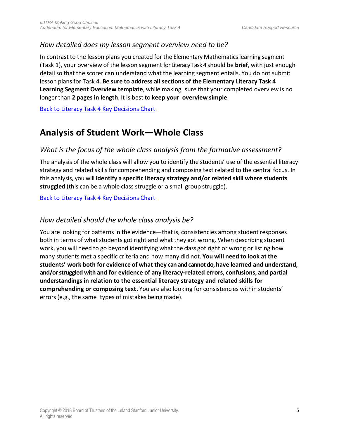#### <span id="page-5-0"></span>*How detailed does my lesson segment overview need to be?*

In contrast to the lesson plans you created for the Elementary Mathematics learning segment (Task 1), your overview of the lesson segment for Literacy Task 4 should be **brief**, with just enough detail so that the scorer can understand what the learning segment entails. You do not submit lesson plans for Task 4. **Be sure to address all sections of the Elementary Literacy Task 4 Learning Segment Overview template**, while making sure that your completed overview is no longer than **2 pages in length**. It is best to **keep your overview simple**.

[Back to Literacy Task 4 Key Decisions Chart](#page-1-0)

# **Analysis of Student Work—Whole Class**

## *What is the focus of the whole class analysis from the formative assessment?*

The analysis of the whole class will allow you to identify the students' use of the essential literacy strategy and related skills for comprehending and composing text related to the central focus. In this analysis, you will **identify a specific literacy strategy and/or related skill where students struggled** (this can be a whole class struggle or a small group struggle).

[Back to Literacy Task 4 Key Decisions Chart](#page-1-0) 

#### *How detailed should the whole class analysis be?*

You are looking for patterns in the evidence—that is, consistencies among student responses both in terms of what students got right and what they got wrong. When describing student work, you will need to go beyond identifying what the class got right or wrong or listing how many students met a specific criteria and how many did not. **You will need to look at the students' work both for evidence of what they can and cannot do, have learned and understand, and/or struggled with and for evidence of any literacy-related errors, confusions, and partial understandings in relation to the essential literacy strategy and related skills for comprehending or composing text.** You are also looking for consistencies within students' errors (e.g., the same types of mistakes being made).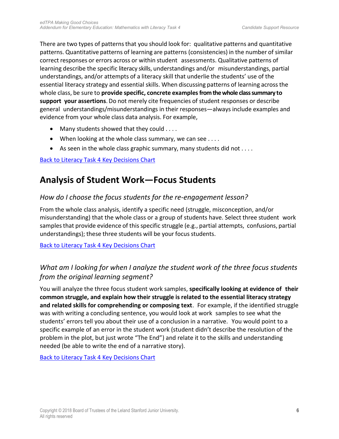<span id="page-6-0"></span>There are two types of patterns that you should look for: qualitative patterns and quantitative patterns. Quantitative patterns of learning are patterns (consistencies) in the number of similar correct responses or errors across or within student assessments. Qualitative patterns of learning describe the specific literacy skills, understandings and/or misunderstandings, partial understandings, and/or attempts of a literacy skill that underlie the students' use of the essential literacy strategy and essential skills. When discussing patterns of learning across the whole class, be sure to **provide specific, concrete examples from the whole class summary to support your assertions**. Do not merely cite frequencies of student responses or describe general understandings/misunderstandings in their responses—always include examples and evidence from your whole class data analysis. For example,

- Many students showed that they could . . . .
- When looking at the whole class summary, we can see . . . .
- As seen in the whole class graphic summary, many students did not  $\dots$ .

#### Back to [Literacy Task 4 Key Decisions Chart](#page-1-0)

# **Analysis of Student Work—Focus Students**

#### *How do I choose the focus students for the re-engagement lesson?*

From the whole class analysis, identify a specific need (struggle, misconception, and/or misunderstanding) that the whole class or a group of students have. Select three student work samples that provide evidence of this specific struggle (e.g., partial attempts, confusions, partial understandings); these three students will be your focus students.

[Back to Literacy Task 4 Key Decisions Chart](#page-1-0) 

## *What am I looking for when I analyze the student work of the three focus students from the original learning segment?*

You will analyze the three focus student work samples, **specifically looking at evidence of their common struggle, and explain how their struggle is related to the essential literacy strategy and related skills for comprehending or composing text**. For example, if the identified struggle was with writing a concluding sentence, you would look at work samples to see what the students' errors tell you about their use of a conclusion in a narrative. You would point to a specific example of an error in the student work (student didn't describe the resolution of the problem in the plot, but just wrote "The End") and relate it to the skills and understanding needed (be able to write the end of a narrative story).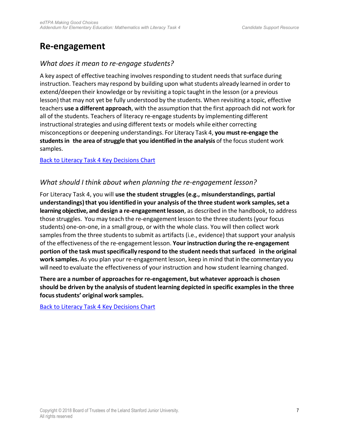# <span id="page-7-0"></span>**Re-engagement**

#### *What does it mean to re-engage students?*

A key aspect of effective teaching involves responding to student needs that surface during instruction. Teachers may respond by building upon what students already learned in order to extend/deepen their knowledge or by revisiting a topic taught in the lesson (or a previous lesson) that may not yet be fully understood by the students. When revisiting a topic, effective teachers **use a different approach**, with the assumption that the first approach did not work for all of the students. Teachers of literacy re-engage students by implementing different instructional strategies and using different texts or models while either correcting misconceptions or deepening understandings. For Literacy Task 4, **you must re-engage the students in the area of struggle that you identified in the analysis** of the focus student work samples.

[Back to Literacy Task 4 Key Decisions Chart](#page-1-0) 

#### *What should I think about when planning the re-engagement lesson?*

For Literacy Task 4, you will **use the student struggles (e.g., misunderstandings, partial understandings) that you identified in your analysis of the three student work samples, set a learning objective, and design a re-engagement lesson**, as described in the handbook, to address those struggles. You may teach the re-engagement lesson to the three students (your focus students) one-on-one, in a small group, or with the whole class. You will then collect work samples from the three students to submit as artifacts (i.e., evidence) that support your analysis of the effectiveness of the re-engagement lesson. **Your instruction during the re-engagement portion of the task must specifically respond to the student needs that surfaced in the original work samples.** As you plan your re-engagement lesson, keep in mind that in the commentary you will need to evaluate the effectiveness of your instruction and how student learning changed.

**There are a number of approaches for re-engagement, but whatever approach is chosen should be driven by the analysis of student learning depicted in specific examples in the three focus students' original work samples.**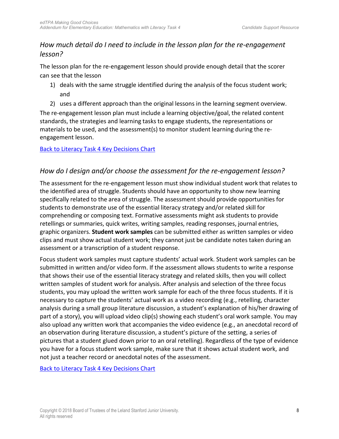## <span id="page-8-0"></span>*How much detail do I need to include in the lesson plan for the re-engagement lesson?*

The lesson plan for the re-engagement lesson should provide enough detail that the scorer can see that the lesson

- 1) deals with the same struggle identified during the analysis of the focus student work; and
- 2) uses a different approach than the original lessons in the learning segment overview. The re-engagement lesson plan must include a learning objective/goal, the related content standards, the strategies and learning tasks to engage students, the representations or materials to be used, and the assessment(s) to monitor student learning during the reengagement lesson.

#### [Back to Literacy Task 4 Key Decisions Chart](#page-1-0)

## *How do I design and/or choose the assessment for the re-engagement lesson?*

The assessment for the re-engagement lesson must show individual student work that relates to the identified area of struggle. Students should have an opportunity to show new learning specifically related to the area of struggle. The assessment should provide opportunities for students to demonstrate use of the essential literacy strategy and/or related skill for comprehending or composing text. Formative assessments might ask students to provide retellings or summaries, quick writes, writing samples, reading responses, journal entries, graphic organizers. **Student work samples** can be submitted either as written samples or video clips and must show actual student work; they cannot just be candidate notes taken during an assessment or a transcription of a student response.

Focus student work samples must capture students' actual work. Student work samples can be submitted in written and/or video form. If the assessment allows students to write a response that shows their use of the essential literacy strategy and related skills, then you will collect written samples of student work for analysis. After analysis and selection of the three focus students, you may upload the written work sample for each of the three focus students. If it is necessary to capture the students' actual work as a video recording (e.g., retelling, character analysis during a small group literature discussion, a student's explanation of his/her drawing of part of a story), you will upload video clip(s) showing each student's oral work sample. You may also upload any written work that accompanies the video evidence (e.g., an anecdotal record of an observation during literature discussion, a student's picture of the setting, a series of pictures that a student glued down prior to an oral retelling). Regardless of the type of evidence you have for a focus student work sample, make sure that it shows actual student work, and not just a teacher record or anecdotal notes of the assessment.